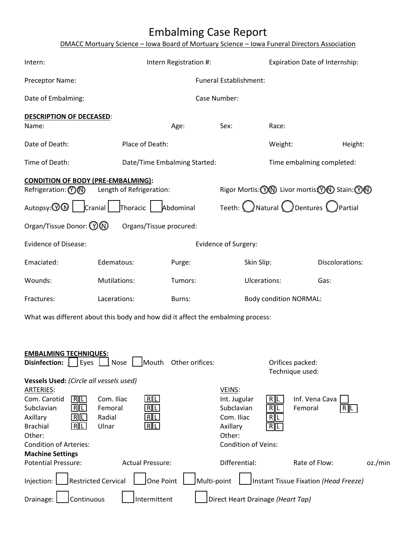# Embalming Case Report

|  |  | DMACC Mortuary Science - Iowa Board of Mortuary Science - Iowa Funeral Directors Association |  |  |
|--|--|----------------------------------------------------------------------------------------------|--|--|
|--|--|----------------------------------------------------------------------------------------------|--|--|

| Intern:                                                                         |                                   | Intern Registration #:       |                            | Expiration Date of Internship:                                   |                                              |
|---------------------------------------------------------------------------------|-----------------------------------|------------------------------|----------------------------|------------------------------------------------------------------|----------------------------------------------|
| Preceptor Name:                                                                 |                                   |                              | Funeral Establishment:     |                                                                  |                                              |
| Date of Embalming:                                                              |                                   |                              | Case Number:               |                                                                  |                                              |
| <b>DESCRIPTION OF DECEASED:</b>                                                 |                                   |                              |                            |                                                                  |                                              |
| Name:                                                                           |                                   | Age:                         | Sex:                       | Race:                                                            |                                              |
| Date of Death:                                                                  | Place of Death:                   |                              |                            | Weight:                                                          | Height:                                      |
| Time of Death:                                                                  |                                   | Date/Time Embalming Started: |                            | Time embalming completed:                                        |                                              |
| <b>CONDITION OF BODY (PRE-EMBALMING):</b>                                       |                                   |                              |                            |                                                                  |                                              |
| Refrigeration: $\mathcal{O}(\mathbb{N})$                                        | Length of Refrigeration:          |                              |                            |                                                                  | Rigor Mortis: (DO Livor mortis: 00 Stain: 00 |
| Autopsy: $\textcircled{ } \mathbb{Q}$  <br>Cranial                              | Thoracic                          | Abdominal                    |                            | Teeth: $\bigcirc$ Natural $\bigcirc$ Dentures $\bigcirc$ Partial |                                              |
| Organ/Tissue Donor: $\circledR$                                                 | Organs/Tissue procured:           |                              |                            |                                                                  |                                              |
| <b>Evidence of Disease:</b>                                                     |                                   |                              | Evidence of Surgery:       |                                                                  |                                              |
| Emaciated:                                                                      | Edematous:                        | Purge:                       | Skin Slip:                 |                                                                  | Discolorations:                              |
| Wounds:                                                                         | Mutilations:                      | Tumors:                      | Ulcerations:               |                                                                  | Gas:                                         |
| Fractures:                                                                      | Lacerations:                      | Burns:                       |                            | <b>Body condition NORMAL:</b>                                    |                                              |
| What was different about this body and how did it affect the embalming process: |                                   |                              |                            |                                                                  |                                              |
|                                                                                 |                                   |                              |                            |                                                                  |                                              |
| <b>EMBALMING TECHNIQUES:</b>                                                    |                                   |                              |                            |                                                                  |                                              |
| Disinfection:     Eyes     Nose                                                 | Mouth                             | Other orifices:              |                            | Orifices packed:<br>Technique used:                              |                                              |
| Vessels Used: (Circle all vessels used)                                         |                                   |                              |                            |                                                                  |                                              |
| ARTERIES:                                                                       |                                   |                              | VEINS:                     |                                                                  |                                              |
| R <sub>1</sub><br>Com. Carotid<br>R[L]<br>Subclavian                            | RL<br>Com. Iliac<br>RL<br>Femoral |                              | Int. Jugular<br>Subclavian | R∥L<br>R∥L<br>Femoral                                            | Inf. Vena Cava                               |
| Axillary<br>$R$ $L$                                                             | RL<br>Radial                      |                              | Com. Iliac                 | R∥L                                                              | R ∥L                                         |
| <b>Brachial</b><br>R L                                                          | $R$ <u>L</u><br>Ulnar             |                              | Axillary                   | R∥L                                                              |                                              |
| Other:                                                                          |                                   |                              | Other:                     |                                                                  |                                              |
| <b>Condition of Arteries:</b>                                                   |                                   |                              | <b>Condition of Veins:</b> |                                                                  |                                              |
| <b>Machine Settings</b>                                                         |                                   |                              |                            |                                                                  |                                              |

| <b>Potential Pressure:</b> | <b>Actual Pressure:</b> | Differential:                                                                              | Rate of Flow: | oz./min |
|----------------------------|-------------------------|--------------------------------------------------------------------------------------------|---------------|---------|
|                            |                         | Injection: Restricted Cervical One Point Multi-point Instant Tissue Fixation (Head Freeze) |               |         |
|                            |                         | Direct Heart Drainage: Continuous Intermittent Direct Heart Drainage (Heart Tap)           |               |         |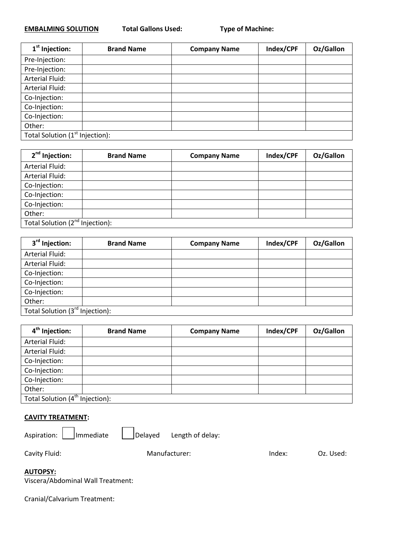### **EMBALMING SOLUTION Total Gallons Used:**

| 1 <sup>st</sup> Injection:                  | <b>Brand Name</b> | <b>Company Name</b> | Index/CPF | Oz/Gallon |
|---------------------------------------------|-------------------|---------------------|-----------|-----------|
| Pre-Injection:                              |                   |                     |           |           |
| Pre-Injection:                              |                   |                     |           |           |
| <b>Arterial Fluid:</b>                      |                   |                     |           |           |
| <b>Arterial Fluid:</b>                      |                   |                     |           |           |
| Co-Injection:                               |                   |                     |           |           |
| Co-Injection:                               |                   |                     |           |           |
| Co-Injection:                               |                   |                     |           |           |
| Other:                                      |                   |                     |           |           |
| Total Solution (1 <sup>st</sup> Injection): |                   |                     |           |           |

| 2 <sup>nd</sup> Injection:                  | <b>Brand Name</b> | <b>Company Name</b> | Index/CPF | Oz/Gallon |
|---------------------------------------------|-------------------|---------------------|-----------|-----------|
| <b>Arterial Fluid:</b>                      |                   |                     |           |           |
| <b>Arterial Fluid:</b>                      |                   |                     |           |           |
| Co-Injection:                               |                   |                     |           |           |
| Co-Injection:                               |                   |                     |           |           |
| Co-Injection:                               |                   |                     |           |           |
| Other:                                      |                   |                     |           |           |
| Total Solution (2 <sup>nd</sup> Injection): |                   |                     |           |           |

| 3 <sup>rd</sup> Injection:      | <b>Brand Name</b> | <b>Company Name</b> | Index/CPF | Oz/Gallon |
|---------------------------------|-------------------|---------------------|-----------|-----------|
| <b>Arterial Fluid:</b>          |                   |                     |           |           |
| <b>Arterial Fluid:</b>          |                   |                     |           |           |
| Co-Injection:                   |                   |                     |           |           |
| Co-Injection:                   |                   |                     |           |           |
| Co-Injection:                   |                   |                     |           |           |
| Other:                          |                   |                     |           |           |
| Total Solution (3rd Injection): |                   |                     |           |           |

| 4 <sup>th</sup> Injection:                  | <b>Brand Name</b> | <b>Company Name</b> | Index/CPF | Oz/Gallon |
|---------------------------------------------|-------------------|---------------------|-----------|-----------|
| <b>Arterial Fluid:</b>                      |                   |                     |           |           |
| Arterial Fluid:                             |                   |                     |           |           |
| Co-Injection:                               |                   |                     |           |           |
| Co-Injection:                               |                   |                     |           |           |
| Co-Injection:                               |                   |                     |           |           |
| Other:                                      |                   |                     |           |           |
| Total Solution (4 <sup>th</sup> Injection): |                   |                     |           |           |

#### **CAVITY TREATMENT:**

Aspiration:  $\Box$  Immediate  $\Box$  Delayed Length of delay:

Cavity Fluid: Cavity Fluid: Cavity Fluid: Cavity Fluid: Cavity Fluid: Cavity Fluid: Cavity Fluid: Cavity Fluid

**AUTOPSY:** 

| Viscera/Abdominal Wall Treatment: |  |
|-----------------------------------|--|
|-----------------------------------|--|

Cranial/Calvarium Treatment: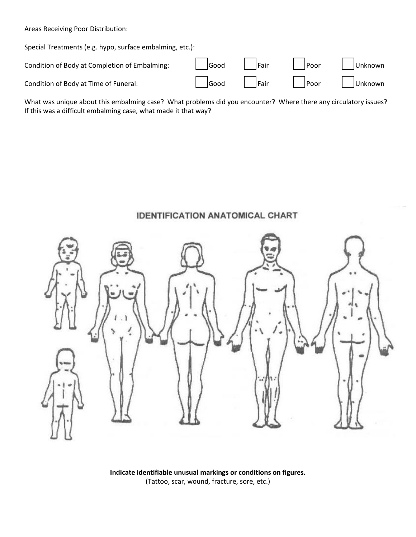Areas Receiving Poor Distribution:

Special Treatments (e.g. hypo, surface embalming, etc.):

| Condition of Body at Completion of Embalming: | Good Fair | Poor Dunknown                 |
|-----------------------------------------------|-----------|-------------------------------|
| Condition of Body at Time of Funeral:         |           | Good   Fair   Poor   JUnknown |

What was unique about this embalming case? What problems did you encounter? Where there any circulatory issues? If this was a difficult embalming case, what made it that way?

## **IDENTIFICATION ANATOMICAL CHART**



**Indicate identifiable unusual markings or conditions on figures.**  (Tattoo, scar, wound, fracture, sore, etc.)